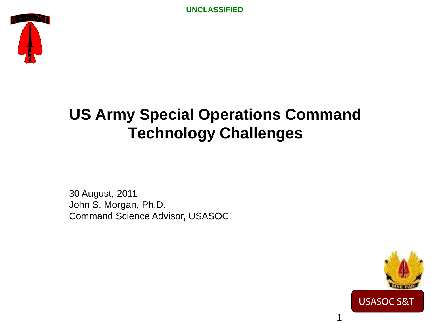

### **US Army Special Operations Command Technology Challenges**

30 August, 2011 John S. Morgan, Ph.D. Command Science Advisor, USASOC



1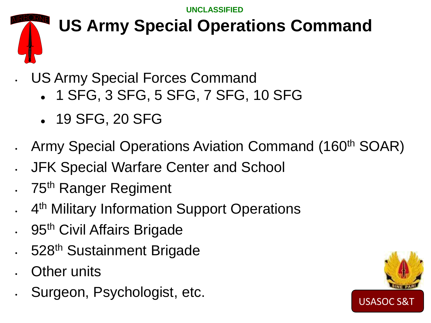## **US Army Special Operations Command**

• US Army Special Forces Command

- 1 SFG, 3 SFG, 5 SFG, 7 SFG, 10 SFG
- 19 SFG, 20 SFG
- Army Special Operations Aviation Command (160<sup>th</sup> SOAR)
- JFK Special Warfare Center and School
- 75<sup>th</sup> Ranger Regiment
- 4<sup>th</sup> Military Information Support Operations
- . 95<sup>th</sup> Civil Affairs Brigade
- 528<sup>th</sup> Sustainment Brigade
- **Other units**
- Surgeon, Psychologist, etc.

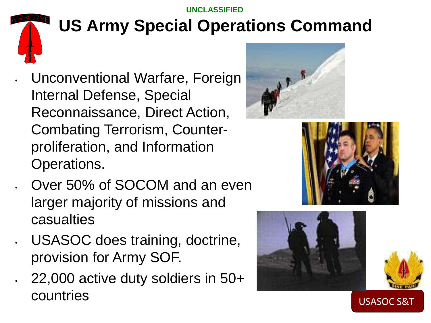### **US Army Special Operations Command**

- Unconventional Warfare, Foreign Internal Defense, Special Reconnaissance, Direct Action, Combating Terrorism, Counterproliferation, and Information Operations.
- Over 50% of SOCOM and an even larger majority of missions and casualties
- USASOC does training, doctrine, provision for Army SOF.
	- 22,000 active duty soldiers in 50+ countries







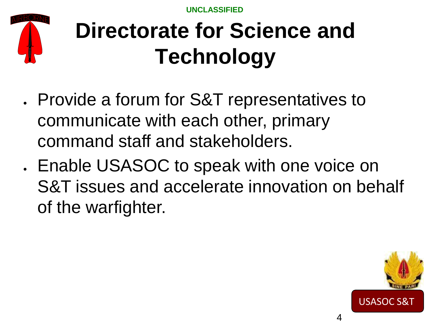

## **Directorate for Science and Technology**

- Provide a forum for S&T representatives to communicate with each other, primary command staff and stakeholders.
- Enable USASOC to speak with one voice on S&T issues and accelerate innovation on behalf of the warfighter.

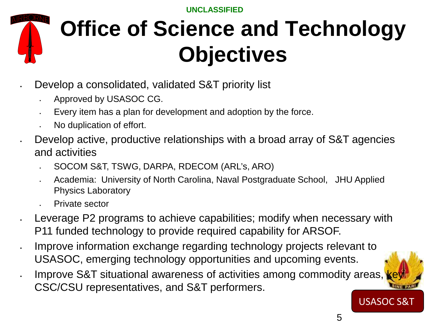

## **Office of Science and Technology Objectives**

- Develop a consolidated, validated S&T priority list
	- Approved by USASOC CG.
	- Every item has a plan for development and adoption by the force.
	- No duplication of effort.
- Develop active, productive relationships with a broad array of S&T agencies and activities
	- SOCOM S&T, TSWG, DARPA, RDECOM (ARL's, ARO)
	- Academia: University of North Carolina, Naval Postgraduate School, JHU Applied Physics Laboratory
	- Private sector
- Leverage P2 programs to achieve capabilities; modify when necessary with P11 funded technology to provide required capability for ARSOF.
- Improve information exchange regarding technology projects relevant to USASOC, emerging technology opportunities and upcoming events.
- Improve S&T situational awareness of activities among commodity areas, CSC/CSU representatives, and S&T performers.

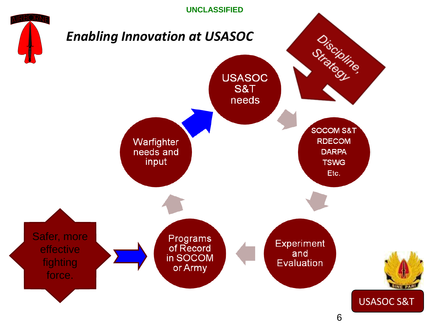

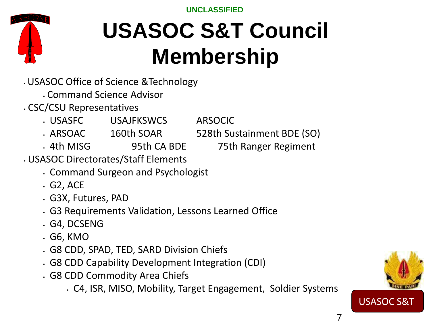## **USASOC S&T Council Membership**

- USASOC Office of Science &Technology
	- Command Science Advisor
- CSC/CSU Representatives
	- USASFC USAJFKSWCS ARSOCIC
	- ARSOAC 160th SOAR 528th Sustainment BDE (SO)
		-
	- 4th MISG 95th CA BDE 75th Ranger Regiment
- USASOC Directorates/Staff Elements
	- Command Surgeon and Psychologist
	- G2, ACE
	- G3X, Futures, PAD
	- G3 Requirements Validation, Lessons Learned Office
	- G4, DCSENG
	- G6, KMO
	- G8 CDD, SPAD, TED, SARD Division Chiefs
	- G8 CDD Capability Development Integration (CDI)
	- G8 CDD Commodity Area Chiefs
		- C4, ISR, MISO, Mobility, Target Engagement, Soldier Systems

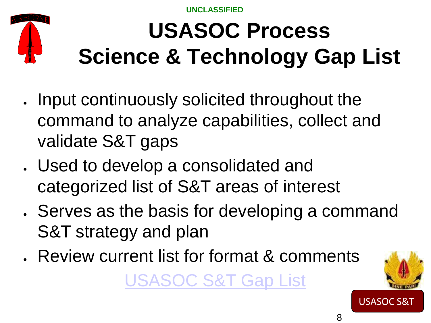

# **USASOC Process Science & Technology Gap List**

- Input continuously solicited throughout the command to analyze capabilities, collect and validate S&T gaps
- Used to develop a consolidated and categorized list of S&T areas of interest
- Serves as the basis for developing a command S&T strategy and plan
- Review current list for format & comments [USASOC S&T Gap List](https://portal.usasoc.socom.smil.mil/C17/C6/AOFDCDT/Technology%20Interest%20Areas/Forms/AllItems.aspx?RootFolder=/C17/C6/AOFDCDT/Technology%20Interest%20Areas/USASOC%202011%20Capability%20Gaps%20Lists&View=%7b38D42547-5120-48F7-A544-B736F)

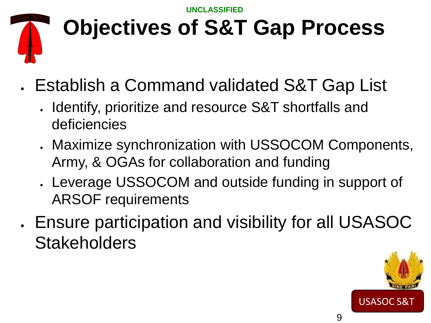

## **Objectives of S&T Gap Process**

- Establish a Command validated S&T Gap List
	- Identify, prioritize and resource S&T shortfalls and deficiencies
	- Maximize synchronization with USSOCOM Components, Army, & OGAs for collaboration and funding
	- Leverage USSOCOM and outside funding in support of ARSOF requirements
- Ensure participation and visibility for all USASOC **Stakeholders**

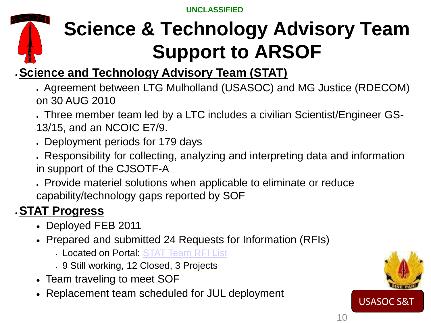## **Science & Technology Advisory Team Support to ARSOF**

#### •**Science and Technology Advisory Team (STAT)**

• Agreement between LTG Mulholland (USASOC) and MG Justice (RDECOM) on 30 AUG 2010

• Three member team led by a LTC includes a civilian Scientist/Engineer GS-13/15, and an NCOIC E7/9.

• Deployment periods for 179 days

• Responsibility for collecting, analyzing and interpreting data and information in support of the CJSOTF-A

• Provide materiel solutions when applicable to eliminate or reduce capability/technology gaps reported by SOF

#### •**STAT Progress**

- Deployed FEB 2011
- Prepared and submitted 24 Requests for Information (RFIs)
	- Located on Portal: [STAT Team RFI List](https://portal.usasoc.socom.smil.mil/C17/C6/AOFDCDT/STATS/Forms/AllItems.aspx)
	- 9 Still working, 12 Closed, 3 Projects
- Team traveling to meet SOF
- Replacement team scheduled for JUL deployment

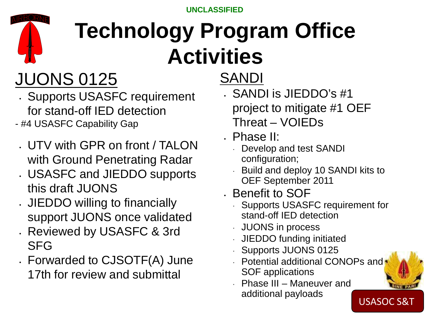

## **Technology Program Office Activities**

## JUONS 0125

- Supports USASFC requirement for stand-off IED detection
- #4 USASFC Capability Gap
	- UTV with GPR on front / TALON with Ground Penetrating Radar
	- USASFC and JIEDDO supports this draft JUONS
	- JIEDDO willing to financially support JUONS once validated
	- Reviewed by USASFC & 3rd SFG
	- Forwarded to CJSOTF(A) June 17th for review and submittal

### SANDI

- SANDI is JIEDDO's #1 project to mitigate #1 OEF Threat – VOIEDs
- Phase II:
	- ∙ Develop and test SANDI configuration;
	- ∙ Build and deploy 10 SANDI kits to OEF September 2011
- Benefit to SOF
	- ∙ Supports USASFC requirement for stand-off IED detection
	- ∙ JUONS in process
	- ∙ JIEDDO funding initiated
	- ∙ Supports JUONS 0125
	- ∙ Potential additional CONOPs and SOF applications
	- ∙ Phase III Maneuver and additional payloads

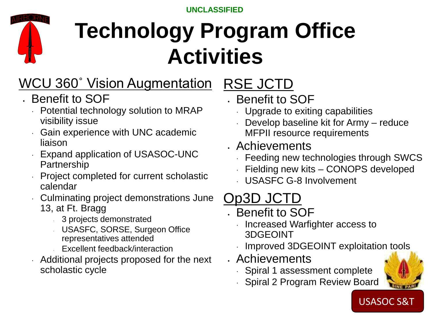

## **Technology Program Office Activities**

### WCU 360˚ Vision Augmentation

- Benefit to SOF
	- ∙ Potential technology solution to MRAP visibility issue
	- ∙ Gain experience with UNC academic liaison
	- ∙ Expand application of USASOC-UNC Partnership
	- ∙ Project completed for current scholastic calendar
	- ∙ Culminating project demonstrations June
		- 13, at Ft. Bragg
			- <sup>∙</sup> 3 projects demonstrated
			- <sup>∙</sup> USASFC, SORSE, Surgeon Office representatives attended
			- <sup>∙</sup> Excellent feedback/interaction
	- ∙ Additional projects proposed for the next scholastic cycle
- RSE JCTD • Benefit to SOF
	- ∙ Upgrade to exiting capabilities
	- ∙ Develop baseline kit for Army reduce MFPII resource requirements
- Achievements
	- ∙ Feeding new technologies through SWCS
	- ∙ Fielding new kits CONOPS developed
	- ∙ USASFC G-8 Involvement

### Op3D JCTD

- Benefit to SOF
	- ∙ Increased Warfighter access to 3DGEOINT
	- ∙ Improved 3DGEOINT exploitation tools
- Achievements
	- ∙ Spiral 1 assessment complete
	- ∙ Spiral 2 Program Review Board

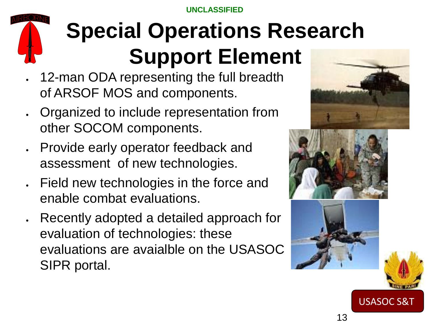# **Special Operations Research Support Element**

- 12-man ODA representing the full breadth of ARSOF MOS and components.
- Organized to include representation from other SOCOM components.
- Provide early operator feedback and assessment of new technologies.
- Field new technologies in the force and enable combat evaluations.
- Recently adopted a detailed approach for evaluation of technologies: these evaluations are avaialble on the USASOC SIPR portal.







13

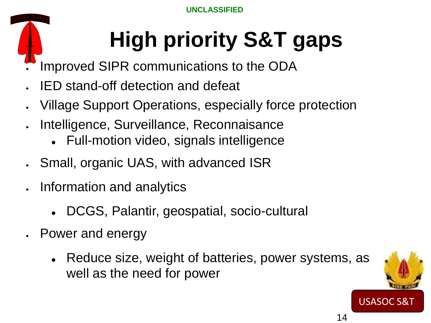# **High priority S&T gaps**

- Improved SIPR communications to the ODA
- IED stand-off detection and defeat
- Village Support Operations, especially force protection
- Intelligence, Surveillance, Reconnaisance
	- Full-motion video, signals intelligence
- Small, organic UAS, with advanced ISR
- Information and analytics
	- DCGS, Palantir, geospatial, socio-cultural
- Power and energy
	- Reduce size, weight of batteries, power systems, as well as the need for power

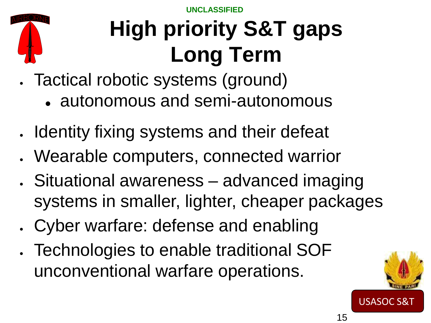

## **High priority S&T gaps Long Term**

- Tactical robotic systems (ground)
	- autonomous and semi-autonomous
- Identity fixing systems and their defeat
- Wearable computers, connected warrior
- Situational awareness advanced imaging systems in smaller, lighter, cheaper packages
- Cyber warfare: defense and enabling
- Technologies to enable traditional SOF unconventional warfare operations.

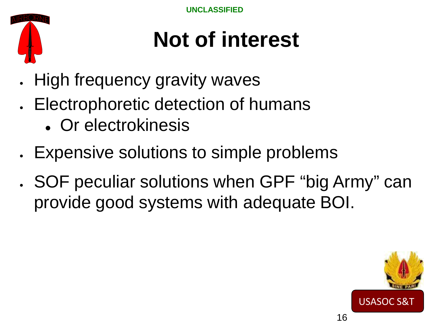

## **Not of interest**

- High frequency gravity waves
- Electrophoretic detection of humans
	- Or electrokinesis
- Expensive solutions to simple problems
- SOF peculiar solutions when GPF "big Army" can provide good systems with adequate BOI.